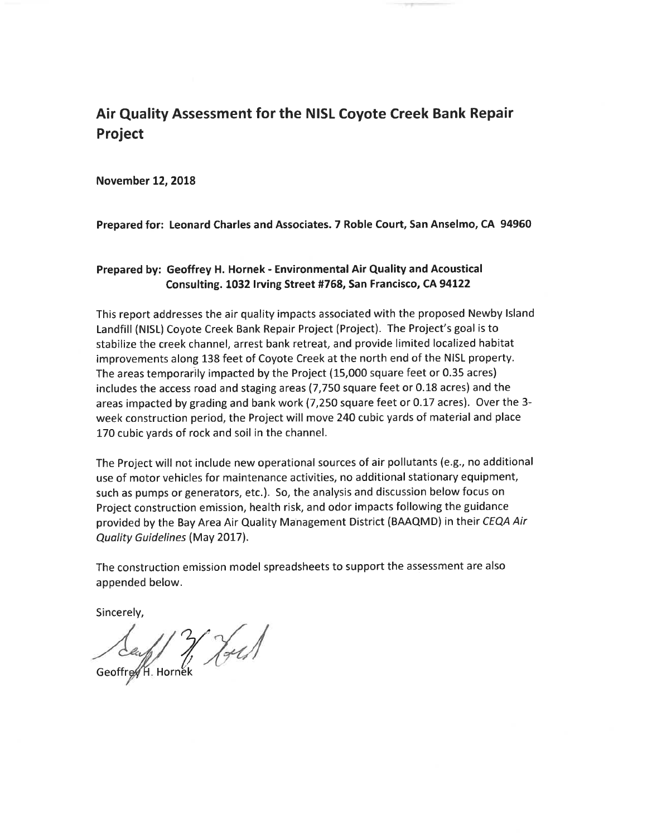**Appendix A**

**Air Quality Assessment**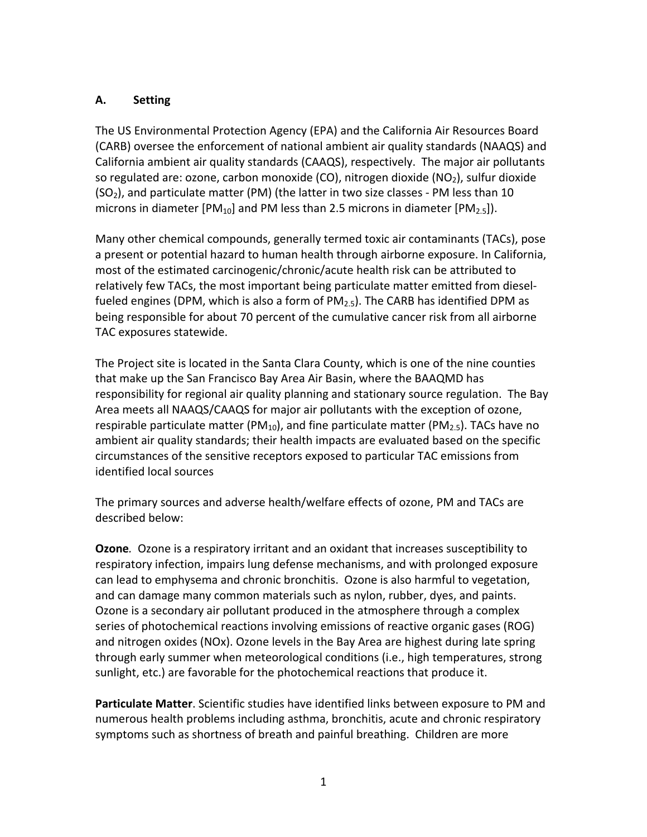## Air Quality Assessment for the NISL Coyote Creek Bank Repair **Project**

**November 12, 2018** 

Prepared for: Leonard Charles and Associates. 7 Roble Court, San Anselmo, CA 94960

#### Prepared by: Geoffrey H. Hornek - Environmental Air Quality and Acoustical Consulting. 1032 Irving Street #768, San Francisco, CA 94122

This report addresses the air quality impacts associated with the proposed Newby Island Landfill (NISL) Coyote Creek Bank Repair Project (Project). The Project's goal is to stabilize the creek channel, arrest bank retreat, and provide limited localized habitat improvements along 138 feet of Coyote Creek at the north end of the NISL property. The areas temporarily impacted by the Project (15,000 square feet or 0.35 acres) includes the access road and staging areas (7,750 square feet or 0.18 acres) and the areas impacted by grading and bank work (7,250 square feet or 0.17 acres). Over the 3week construction period, the Project will move 240 cubic yards of material and place 170 cubic yards of rock and soil in the channel.

The Project will not include new operational sources of air pollutants (e.g., no additional use of motor vehicles for maintenance activities, no additional stationary equipment, such as pumps or generators, etc.). So, the analysis and discussion below focus on Project construction emission, health risk, and odor impacts following the guidance provided by the Bay Area Air Quality Management District (BAAQMD) in their CEQA Air Quality Guidelines (May 2017).

The construction emission model spreadsheets to support the assessment are also appended below.

Sincerely,

Seaf 7 Holl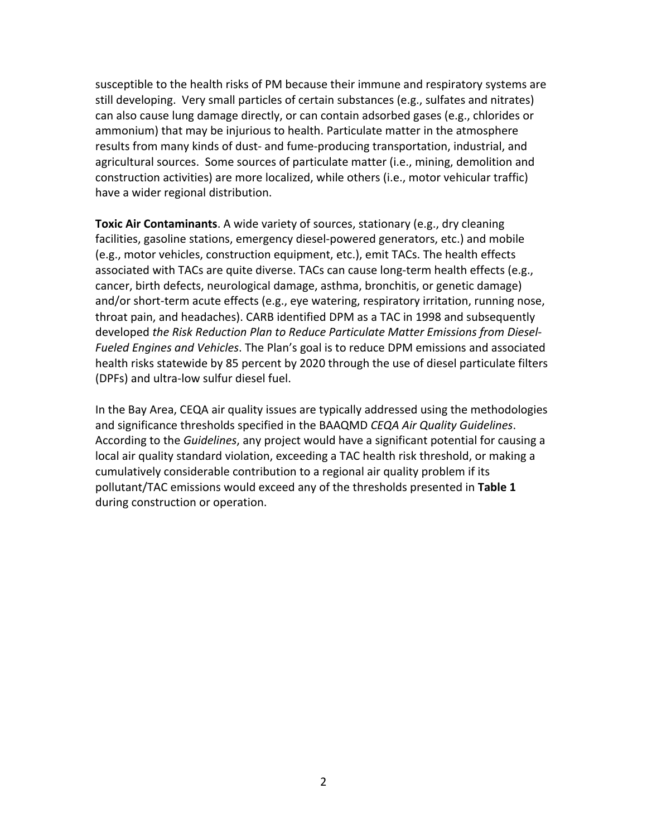#### **A.** Setting

The US Environmental Protection Agency (EPA) and the California Air Resources Board (CARB) oversee the enforcement of national ambient air quality standards (NAAQS) and California ambient air quality standards (CAAQS), respectively. The major air pollutants so regulated are: ozone, carbon monoxide  $(CO)$ , nitrogen dioxide  $(NO<sub>2</sub>)$ , sulfur dioxide  $(SO<sub>2</sub>)$ , and particulate matter (PM) (the latter in two size classes - PM less than 10 microns in diameter  $[PM_{10}]$  and PM less than 2.5 microns in diameter  $[PM_{2.5}]$ ).

Many other chemical compounds, generally termed toxic air contaminants (TACs), pose a present or potential hazard to human health through airborne exposure. In California, most of the estimated carcinogenic/chronic/acute health risk can be attributed to relatively few TACs, the most important being particulate matter emitted from dieselfueled engines (DPM, which is also a form of  $PM_{2.5}$ ). The CARB has identified DPM as being responsible for about 70 percent of the cumulative cancer risk from all airborne TAC exposures statewide.

The Project site is located in the Santa Clara County, which is one of the nine counties that make up the San Francisco Bay Area Air Basin, where the BAAQMD has responsibility for regional air quality planning and stationary source regulation. The Bay Area meets all NAAQS/CAAQS for major air pollutants with the exception of ozone, respirable particulate matter (PM<sub>10</sub>), and fine particulate matter (PM<sub>2.5</sub>). TACs have no ambient air quality standards; their health impacts are evaluated based on the specific circumstances of the sensitive receptors exposed to particular TAC emissions from identified local sources

The primary sources and adverse health/welfare effects of ozone, PM and TACs are described below:

**Ozone**. Ozone is a respiratory irritant and an oxidant that increases susceptibility to respiratory infection, impairs lung defense mechanisms, and with prolonged exposure can lead to emphysema and chronic bronchitis. Ozone is also harmful to vegetation, and can damage many common materials such as nylon, rubber, dyes, and paints. Ozone is a secondary air pollutant produced in the atmosphere through a complex series of photochemical reactions involving emissions of reactive organic gases (ROG) and nitrogen oxides (NOx). Ozone levels in the Bay Area are highest during late spring through early summer when meteorological conditions (i.e., high temperatures, strong sunlight, etc.) are favorable for the photochemical reactions that produce it.

**Particulate Matter**. Scientific studies have identified links between exposure to PM and numerous health problems including asthma, bronchitis, acute and chronic respiratory symptoms such as shortness of breath and painful breathing. Children are more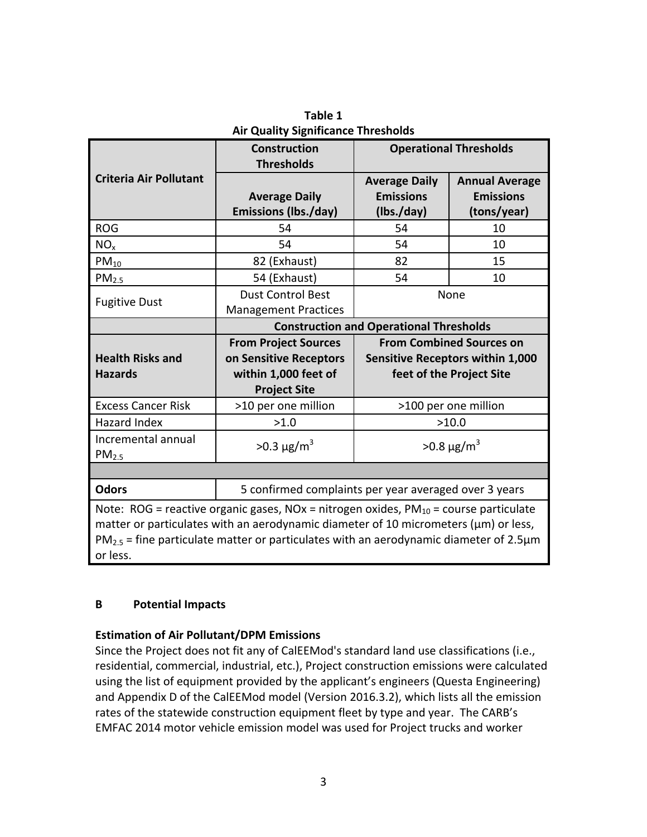susceptible to the health risks of PM because their immune and respiratory systems are still developing. Very small particles of certain substances (e.g., sulfates and nitrates) can also cause lung damage directly, or can contain adsorbed gases (e.g., chlorides or ammonium) that may be injurious to health. Particulate matter in the atmosphere results from many kinds of dust- and fume-producing transportation, industrial, and agricultural sources. Some sources of particulate matter (i.e., mining, demolition and construction activities) are more localized, while others (i.e., motor vehicular traffic) have a wider regional distribution.

**Toxic Air Contaminants**. A wide variety of sources, stationary (e.g., dry cleaning facilities, gasoline stations, emergency diesel-powered generators, etc.) and mobile (e.g., motor vehicles, construction equipment, etc.), emit TACs. The health effects associated with TACs are quite diverse. TACs can cause long-term health effects (e.g., cancer, birth defects, neurological damage, asthma, bronchitis, or genetic damage) and/or short-term acute effects (e.g., eye watering, respiratory irritation, running nose, throat pain, and headaches). CARB identified DPM as a TAC in 1998 and subsequently developed the Risk Reduction Plan to Reduce Particulate Matter Emissions from Diesel-Fueled Engines and Vehicles. The Plan's goal is to reduce DPM emissions and associated health risks statewide by 85 percent by 2020 through the use of diesel particulate filters (DPFs) and ultra-low sulfur diesel fuel.

In the Bay Area, CEQA air quality issues are typically addressed using the methodologies and significance thresholds specified in the BAAQMD CEQA Air Quality Guidelines. According to the *Guidelines*, any project would have a significant potential for causing a local air quality standard violation, exceeding a TAC health risk threshold, or making a cumulatively considerable contribution to a regional air quality problem if its pollutant/TAC emissions would exceed any of the thresholds presented in Table 1 during construction or operation.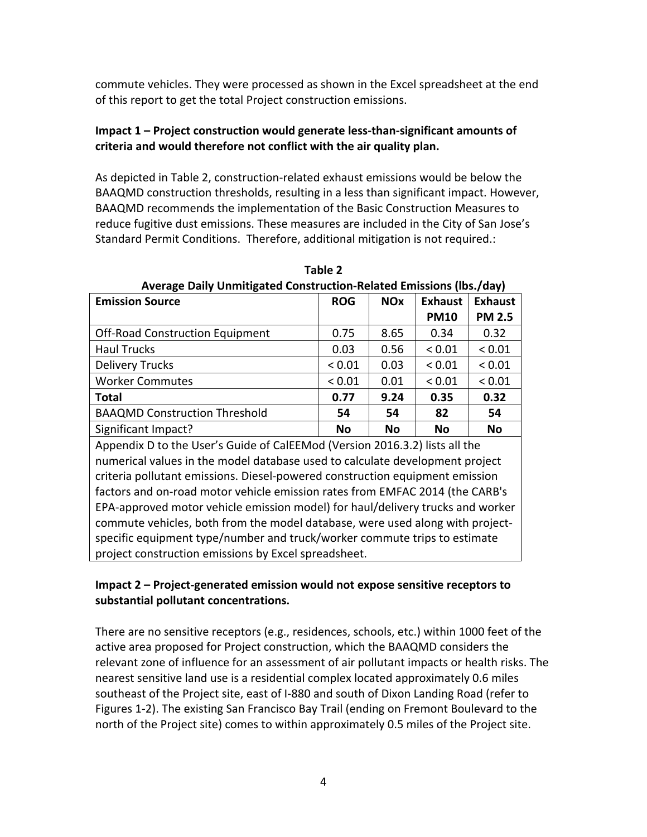|                                           | <b>Construction</b>                                                                                                                                                                                                                                                               | <b>Operational Thresholds</b>                                                                          |                                                          |  |  |  |  |  |
|-------------------------------------------|-----------------------------------------------------------------------------------------------------------------------------------------------------------------------------------------------------------------------------------------------------------------------------------|--------------------------------------------------------------------------------------------------------|----------------------------------------------------------|--|--|--|--|--|
| <b>Criteria Air Pollutant</b>             | <b>Thresholds</b><br><b>Average Daily</b><br><b>Emissions (lbs./day)</b>                                                                                                                                                                                                          | <b>Average Daily</b><br><b>Emissions</b><br>(Ibs./day)                                                 | <b>Annual Average</b><br><b>Emissions</b><br>(tons/year) |  |  |  |  |  |
| <b>ROG</b>                                | 54                                                                                                                                                                                                                                                                                | 54                                                                                                     | 10                                                       |  |  |  |  |  |
| NO <sub>x</sub>                           | 54                                                                                                                                                                                                                                                                                | 54                                                                                                     | 10                                                       |  |  |  |  |  |
| $PM_{10}$                                 | 82 (Exhaust)                                                                                                                                                                                                                                                                      | 82                                                                                                     | 15                                                       |  |  |  |  |  |
| PM <sub>2.5</sub>                         | 54 (Exhaust)                                                                                                                                                                                                                                                                      | 54                                                                                                     | 10                                                       |  |  |  |  |  |
| <b>Fugitive Dust</b>                      | <b>Dust Control Best</b><br><b>Management Practices</b>                                                                                                                                                                                                                           |                                                                                                        | None                                                     |  |  |  |  |  |
|                                           |                                                                                                                                                                                                                                                                                   | <b>Construction and Operational Thresholds</b>                                                         |                                                          |  |  |  |  |  |
| <b>Health Risks and</b><br><b>Hazards</b> | <b>From Project Sources</b><br>on Sensitive Receptors<br>within 1,000 feet of<br><b>Project Site</b>                                                                                                                                                                              | <b>From Combined Sources on</b><br><b>Sensitive Receptors within 1,000</b><br>feet of the Project Site |                                                          |  |  |  |  |  |
| <b>Excess Cancer Risk</b>                 | >10 per one million                                                                                                                                                                                                                                                               |                                                                                                        | >100 per one million                                     |  |  |  |  |  |
| Hazard Index                              | >1.0                                                                                                                                                                                                                                                                              |                                                                                                        | >10.0                                                    |  |  |  |  |  |
| Incremental annual<br>PM <sub>2.5</sub>   | $>0.3 \mu g/m^3$                                                                                                                                                                                                                                                                  |                                                                                                        | $>0.8 \mu g/m^3$                                         |  |  |  |  |  |
|                                           |                                                                                                                                                                                                                                                                                   |                                                                                                        |                                                          |  |  |  |  |  |
| <b>Odors</b>                              | 5 confirmed complaints per year averaged over 3 years                                                                                                                                                                                                                             |                                                                                                        |                                                          |  |  |  |  |  |
| or less.                                  | Note: ROG = reactive organic gases, NOx = nitrogen oxides, $PM_{10}$ = course particulate<br>matter or particulates with an aerodynamic diameter of 10 micrometers (µm) or less,<br>$PM2.5$ = fine particulate matter or particulates with an aerodynamic diameter of 2.5 $\mu$ m |                                                                                                        |                                                          |  |  |  |  |  |

**Table 1 Air Quality Significance Thresholds**

## **B Potential Impacts**

## **Estimation of Air Pollutant/DPM Emissions**

Since the Project does not fit any of CalEEMod's standard land use classifications (i.e., residential, commercial, industrial, etc.), Project construction emissions were calculated using the list of equipment provided by the applicant's engineers (Questa Engineering) and Appendix D of the CalEEMod model (Version 2016.3.2), which lists all the emission rates of the statewide construction equipment fleet by type and year. The CARB's EMFAC 2014 motor vehicle emission model was used for Project trucks and worker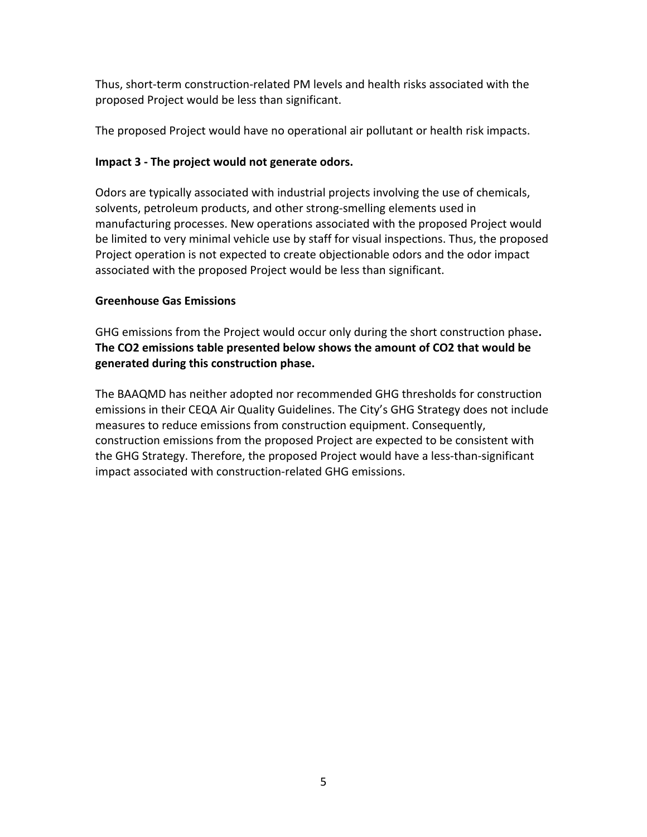commute vehicles. They were processed as shown in the Excel spreadsheet at the end of this report to get the total Project construction emissions.

## **Impact 1** – Project construction would generate less-than-significant amounts of criteria and would therefore not conflict with the air quality plan.

As depicted in Table 2, construction-related exhaust emissions would be below the BAAQMD construction thresholds, resulting in a less than significant impact. However, BAAQMD recommends the implementation of the Basic Construction Measures to reduce fugitive dust emissions. These measures are included in the City of San Jose's Standard Permit Conditions. Therefore, additional mitigation is not required.:

| Average Dairy Omniquedae Construction-Related Linissions (1957/089)            |                                                                           |            |                |                |  |  |  |  |  |  |  |  |
|--------------------------------------------------------------------------------|---------------------------------------------------------------------------|------------|----------------|----------------|--|--|--|--|--|--|--|--|
| <b>Emission Source</b>                                                         | <b>ROG</b>                                                                | <b>NOx</b> | <b>Exhaust</b> | <b>Exhaust</b> |  |  |  |  |  |  |  |  |
|                                                                                |                                                                           |            | <b>PM10</b>    | <b>PM 2.5</b>  |  |  |  |  |  |  |  |  |
| <b>Off-Road Construction Equipment</b>                                         | 0.75                                                                      | 8.65       | 0.34           | 0.32           |  |  |  |  |  |  |  |  |
| <b>Haul Trucks</b>                                                             | 0.03                                                                      | 0.56       | ${}< 0.01$     | < 0.01         |  |  |  |  |  |  |  |  |
| <b>Delivery Trucks</b>                                                         | ${}_{0.01}$                                                               | 0.03       | ${}< 0.01$     | ${}< 0.01$     |  |  |  |  |  |  |  |  |
| <b>Worker Commutes</b>                                                         | ${}< 0.01$                                                                | 0.01       | ${}< 0.01$     | ${}< 0.01$     |  |  |  |  |  |  |  |  |
| <b>Total</b>                                                                   | 0.77                                                                      | 9.24       | 0.35           | 0.32           |  |  |  |  |  |  |  |  |
| <b>BAAQMD Construction Threshold</b>                                           | 54                                                                        | 54         | 82             | 54             |  |  |  |  |  |  |  |  |
| Significant Impact?                                                            | Νo                                                                        | No         | <b>No</b>      | No             |  |  |  |  |  |  |  |  |
| Appendix D to the User's Guide of CalEEMod (Version 2016.3.2) lists all the    |                                                                           |            |                |                |  |  |  |  |  |  |  |  |
| numerical values in the model database used to calculate development project   |                                                                           |            |                |                |  |  |  |  |  |  |  |  |
| criteria pollutant emissions. Diesel-powered construction equipment emission   |                                                                           |            |                |                |  |  |  |  |  |  |  |  |
| factors and on-road motor vehicle emission rates from EMFAC 2014 (the CARB's   |                                                                           |            |                |                |  |  |  |  |  |  |  |  |
| EPA-approved motor vehicle emission model) for haul/delivery trucks and worker |                                                                           |            |                |                |  |  |  |  |  |  |  |  |
| commute vehicles, both from the model database, were used along with project-  |                                                                           |            |                |                |  |  |  |  |  |  |  |  |
|                                                                                | specific equipment type/number and truck/worker commute trips to estimate |            |                |                |  |  |  |  |  |  |  |  |
| project construction emissions by Excel spreadsheet.                           |                                                                           |            |                |                |  |  |  |  |  |  |  |  |

**Table 2 Average Daily Unmitigated Construction-Related Emissions (lbs./day)**

## **Impact 2** – Project-generated emission would not expose sensitive receptors to substantial pollutant concentrations.

There are no sensitive receptors (e.g., residences, schools, etc.) within 1000 feet of the active area proposed for Project construction, which the BAAQMD considers the relevant zone of influence for an assessment of air pollutant impacts or health risks. The nearest sensitive land use is a residential complex located approximately 0.6 miles southeast of the Project site, east of I-880 and south of Dixon Landing Road (refer to Figures 1-2). The existing San Francisco Bay Trail (ending on Fremont Boulevard to the north of the Project site) comes to within approximately 0.5 miles of the Project site.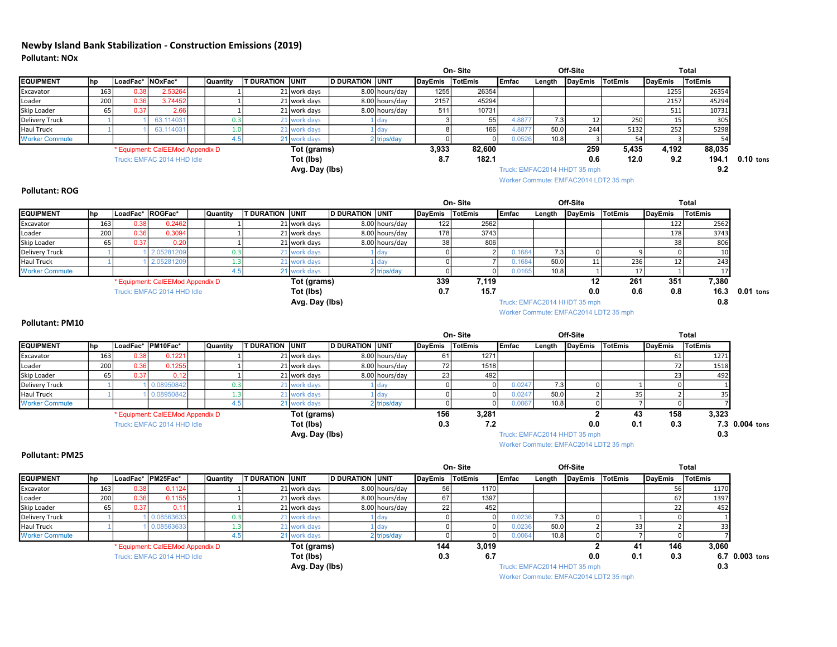Thus, short-term construction-related PM levels and health risks associated with the proposed Project would be less than significant.

The proposed Project would have no operational air pollutant or health risk impacts.

#### **Impact 3 - The project would not generate odors.**

Odors are typically associated with industrial projects involving the use of chemicals, solvents, petroleum products, and other strong-smelling elements used in manufacturing processes. New operations associated with the proposed Project would be limited to very minimal vehicle use by staff for visual inspections. Thus, the proposed Project operation is not expected to create objectionable odors and the odor impact associated with the proposed Project would be less than significant.

#### **Greenhouse Gas Emissions**

GHG emissions from the Project would occur only during the short construction phase. The CO2 emissions table presented below shows the amount of CO2 that would be **generated during this construction phase.**

The BAAQMD has neither adopted nor recommended GHG thresholds for construction emissions in their CEQA Air Quality Guidelines. The City's GHG Strategy does not include measures to reduce emissions from construction equipment. Consequently, construction emissions from the proposed Project are expected to be consistent with the GHG Strategy. Therefore, the proposed Project would have a less-than-significant impact associated with construction-related GHG emissions.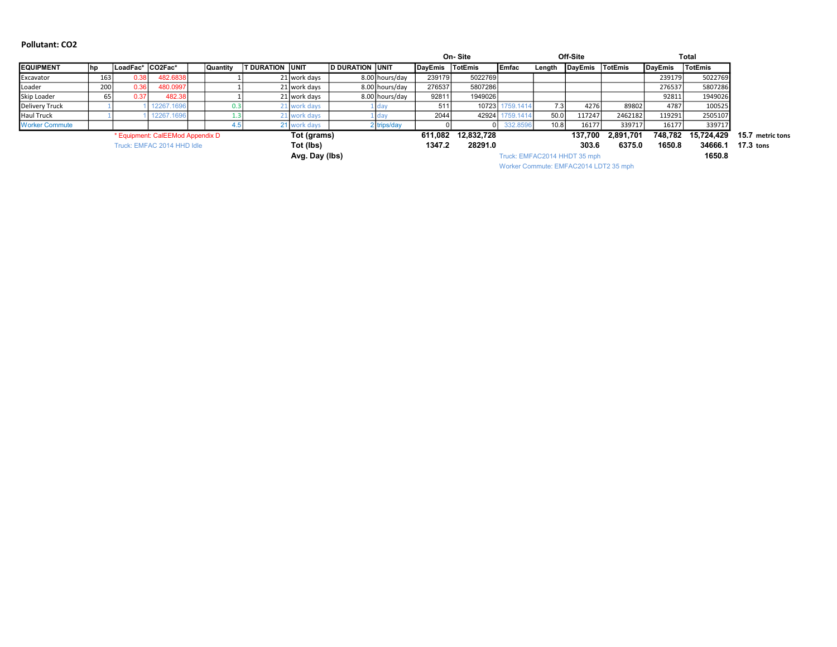#### Newby Island Bank Stabilization - Construction Emissions (2019) Pollutant: NOx

|                                                                                                                                                                                                                                                                                                                    |                                         |                    |                                  |                         |                         |                              |                        | On-Site        |                |               |                              | Off-Site                              |                |                          | <b>Total</b>    |                |
|--------------------------------------------------------------------------------------------------------------------------------------------------------------------------------------------------------------------------------------------------------------------------------------------------------------------|-----------------------------------------|--------------------|----------------------------------|-------------------------|-------------------------|------------------------------|------------------------|----------------|----------------|---------------|------------------------------|---------------------------------------|----------------|--------------------------|-----------------|----------------|
| <b>EQUIPMENT</b>                                                                                                                                                                                                                                                                                                   | hp                                      | LoadFac*           | NOxFac*                          | Quantity                | <b>T DURATION UNIT</b>  |                              | <b>D DURATION UNIT</b> | <b>DayEmis</b> | TotEmis        | <b>Emfac</b>  | Length                       | <b>DayEmis</b>                        | TotEmis        | <b>DayEmis</b>           | <b>TotEmis</b>  |                |
| Excavator                                                                                                                                                                                                                                                                                                          | 163                                     | 0.3                | 2.5326                           |                         |                         | 21 work days                 | 8.00 hours/day         | 1255           | 26354          |               |                              |                                       |                | 1255                     | 26354           |                |
| Loader                                                                                                                                                                                                                                                                                                             | 200                                     | 0.36               | 3.7445                           | $\overline{1}$          |                         | 21 work days                 | 8.00 hours/day         | 2157           | 45294          |               |                              |                                       |                | 2157                     | 45294           |                |
| Skip Loader                                                                                                                                                                                                                                                                                                        | 65                                      | 0.37               | 2.66                             | $\overline{1}$          |                         | 21 work days                 | 8.00 hours/day         | 511            | 10731          |               |                              |                                       |                | 511                      | 10731           |                |
| <b>Delivery Truck</b>                                                                                                                                                                                                                                                                                              |                                         |                    | 63.11403                         | 0.3                     |                         | 21 work days                 | dav                    | 3              | 55             | 4.8877        | 7.3                          | 12                                    | 250            | 15                       | 305             |                |
| <b>Haul Truck</b>                                                                                                                                                                                                                                                                                                  | $\overline{1}$                          |                    | 63.11403                         | 1.0                     |                         | 21 work days                 | 1 day                  | 8              | 166            | 4.887         | 50.0                         | 244                                   | 5132           | 252                      | 5298            |                |
| <b>Worker Commute</b>                                                                                                                                                                                                                                                                                              |                                         |                    |                                  | 4.5                     |                         | 21 work days                 | 2 trips/day            | $\mathbf 0$    | $\mathbf 0$    | 0.0526        | 10.8                         | $\overline{3}$                        | 54             | $\vert$ 3                | 54              |                |
|                                                                                                                                                                                                                                                                                                                    |                                         |                    | * Equipment: CalEEMod Appendix D |                         |                         | Tot (grams)                  |                        | 3,933          | 82,600         |               |                              | 259                                   | 5,435          | 4,192                    | 88,035          |                |
|                                                                                                                                                                                                                                                                                                                    | Tot (lbs)<br>Truck: EMFAC 2014 HHD Idle |                    |                                  |                         |                         |                              |                        | 8.7            | 182.1          |               |                              | 0.6                                   | 12.0           | 9.2                      | 194.1           | $0.10$ tons    |
|                                                                                                                                                                                                                                                                                                                    | Avg. Day (lbs)                          |                    |                                  |                         |                         |                              |                        |                |                |               | Truck: EMFAC2014 HHDT 35 mph |                                       |                | 9.2                      |                 |                |
|                                                                                                                                                                                                                                                                                                                    |                                         |                    |                                  |                         |                         |                              |                        |                |                |               |                              | Worker Commute: EMFAC2014 LDT2 35 mph |                |                          |                 |                |
| <b>Pollutant: ROG</b>                                                                                                                                                                                                                                                                                              |                                         |                    |                                  |                         |                         |                              |                        |                |                |               |                              |                                       |                |                          |                 |                |
|                                                                                                                                                                                                                                                                                                                    |                                         |                    |                                  |                         |                         |                              |                        |                | On-Site        |               |                              | Off-Site                              |                |                          | <b>Total</b>    |                |
| <b>EQUIPMENT</b>                                                                                                                                                                                                                                                                                                   | hp                                      | │LoadFac* │ROGFac* |                                  | Quantity                | <b>T DURATION LUNIT</b> |                              | <b>D DURATION UNIT</b> | <b>DayEmis</b> | <b>TotEmis</b> | <b>IEmfac</b> | Length                       |                                       | <b>TotEmis</b> | <b>DayEmis</b>           | <b>TotEmis</b>  |                |
| Excavator                                                                                                                                                                                                                                                                                                          | 163                                     | 0.3 <sub>i</sub>   | 0.246                            |                         |                         | 21 work days                 | 8.00 hours/day         | 122            | 2562           |               |                              | <b>DayEmis</b>                        |                | 122                      | 2562            |                |
| Loader                                                                                                                                                                                                                                                                                                             | 200                                     | 0.36               | 0.309                            | $\overline{1}$          |                         | 21 work days                 | 8.00 hours/day         | 178            | 3743           |               |                              |                                       |                | 178                      | 3743            |                |
| Skip Loader                                                                                                                                                                                                                                                                                                        | 65                                      | 0.37               | 0.2(                             | $\overline{1}$          |                         | 21 work days                 | 8.00 hours/day         | 38             | 806            |               |                              |                                       |                | 38                       | 806             |                |
| <b>Delivery Truck</b>                                                                                                                                                                                                                                                                                              |                                         |                    | 2.0528120                        | 0.3                     |                         | 21 work days                 | dav                    | $\mathbf 0$    | 2              | 0.1684        | 7.3                          | $\Omega$                              | 9              | $\Omega$                 | 10 <sup>1</sup> |                |
| <b>Haul Truck</b>                                                                                                                                                                                                                                                                                                  |                                         |                    | 2.0528120                        | 1.3                     |                         | 21 work days                 | day                    | $\mathbf 0$    | $\overline{7}$ | 0.1684        | 50.0                         | 11                                    | 236            | 12                       | 243             |                |
| <b>Worker Commute</b>                                                                                                                                                                                                                                                                                              |                                         |                    |                                  | 4.5                     |                         | 21 work days                 | 2 trips/day            | $\mathsf 0$    | $\Omega$       | 0.0165        | 10.8                         | $\mathbf{1}$                          | 17             | 1                        | 17              |                |
|                                                                                                                                                                                                                                                                                                                    |                                         |                    | * Equipment: CalEEMod Appendix D |                         |                         | Tot (grams)                  |                        | 339            | 7,119          |               |                              | 12                                    | 261            | 351                      | 7,380           |                |
|                                                                                                                                                                                                                                                                                                                    |                                         |                    | Truck: EMFAC 2014 HHD Idle       |                         |                         | Tot (lbs)                    |                        | 0.7            | 15.7           |               |                              | 0.0                                   | 0.6            | 0.8                      | 16.3            | $0.01$ tons    |
|                                                                                                                                                                                                                                                                                                                    |                                         |                    |                                  |                         |                         | Avg. Day (lbs)               |                        |                |                |               |                              | Truck: EMFAC2014 HHDT 35 mph          |                |                          | 0.8             |                |
|                                                                                                                                                                                                                                                                                                                    |                                         |                    |                                  |                         |                         |                              |                        |                |                |               |                              |                                       |                |                          |                 |                |
|                                                                                                                                                                                                                                                                                                                    |                                         |                    |                                  |                         |                         |                              |                        |                |                |               |                              |                                       |                |                          |                 |                |
|                                                                                                                                                                                                                                                                                                                    |                                         |                    |                                  |                         |                         |                              |                        |                |                |               |                              | Worker Commute: EMFAC2014 LDT2 35 mph |                |                          |                 |                |
|                                                                                                                                                                                                                                                                                                                    |                                         |                    |                                  |                         |                         |                              |                        |                |                |               |                              |                                       |                |                          |                 |                |
|                                                                                                                                                                                                                                                                                                                    |                                         |                    |                                  |                         |                         |                              |                        |                | On-Site        |               |                              | Off-Site                              |                |                          | <b>Total</b>    |                |
|                                                                                                                                                                                                                                                                                                                    | hp                                      | LoadFac* PM10Fac*  |                                  | Quantity                | T DURATION UNIT         |                              | <b>D DURATION UNIT</b> | <b>DayEmis</b> | TotEmis        | <b>Emfac</b>  | Length                       | <b>DayEmis</b>                        | TotEmis        | <b>DayEmis</b>           | TotEmis         |                |
|                                                                                                                                                                                                                                                                                                                    | 163                                     | 0.3                | 0.122                            | $\overline{\mathbf{1}}$ |                         | 21 work days                 | 8.00 hours/day         | 61             | 1271           |               |                              |                                       |                | 61                       | 1271            |                |
|                                                                                                                                                                                                                                                                                                                    | 200                                     | 0.36               | 0.125                            | $\overline{1}$          |                         | 21 work days                 | 8.00 hours/day         | 72             | 1518           |               |                              |                                       |                | 72                       | 1518            |                |
|                                                                                                                                                                                                                                                                                                                    | 65                                      | 0.37               | 0.12                             | $\overline{1}$          |                         | 21 work days                 | 8.00 hours/day         | 23             | 492            |               |                              |                                       |                | 23                       | 492             |                |
|                                                                                                                                                                                                                                                                                                                    |                                         |                    | 0.08950842                       | 0.3                     |                         | 21 work days                 | day                    | $\mathsf 0$    | $\Omega$       | 0.0247        | 7.3                          | $\Omega$                              | $\mathbf{1}$   | 0                        | $\mathbf{1}$    |                |
|                                                                                                                                                                                                                                                                                                                    |                                         |                    | 0.08950842                       | 1.3                     |                         | 21 work days                 | day                    | $\mathsf 0$    | $\Omega$       | 0.024         | 50.0                         |                                       | 35             | $\overline{\phantom{a}}$ | 35              |                |
|                                                                                                                                                                                                                                                                                                                    |                                         |                    |                                  | 4.5                     |                         | 21 work days                 | 2 trips/day            | $\mathsf 0$    | $\Omega$       | 0.0067        | 10.8                         | $\Omega$                              | $\overline{7}$ | 0                        | $\overline{7}$  |                |
|                                                                                                                                                                                                                                                                                                                    |                                         |                    | * Equipment: CalEEMod Appendix D |                         |                         | Tot (grams)                  |                        | 156            | 3,281          |               |                              | $\mathbf{2}$                          | 43             | 158                      | 3,323           |                |
|                                                                                                                                                                                                                                                                                                                    |                                         |                    | Truck: EMFAC 2014 HHD Idle       |                         |                         | Tot (lbs)                    |                        | 0.3            | 7.2            |               |                              | 0.0                                   | 0.1            | 0.3                      |                 | 7.3 0.004 tons |
|                                                                                                                                                                                                                                                                                                                    |                                         |                    |                                  |                         |                         | Avg. Day (lbs)               |                        |                |                |               |                              | Truck: EMFAC2014 HHDT 35 mph          |                |                          | 0.3             |                |
|                                                                                                                                                                                                                                                                                                                    |                                         |                    |                                  |                         |                         |                              |                        |                |                |               |                              | Worker Commute: EMFAC2014 LDT2 35 mph |                |                          |                 |                |
|                                                                                                                                                                                                                                                                                                                    |                                         |                    |                                  |                         |                         |                              |                        |                |                |               |                              |                                       |                |                          |                 |                |
|                                                                                                                                                                                                                                                                                                                    |                                         |                    |                                  |                         |                         |                              |                        |                | On-Site        |               |                              | Off-Site                              |                |                          | <b>Total</b>    |                |
|                                                                                                                                                                                                                                                                                                                    | hp                                      | LoadFac* PM25Fac*  |                                  | Quantity                | <b>T DURATION UNIT</b>  |                              | <b>D DURATION UNIT</b> | <b>DayEmis</b> | <b>TotEmis</b> | <b>IEmfac</b> | Length                       | <b>DayEmis</b>                        | <b>TotEmis</b> | <b>DayEmis</b>           | <b>TotEmis</b>  |                |
|                                                                                                                                                                                                                                                                                                                    | 163                                     | 0.38               | 0.1124                           | 1                       |                         | 21 work days                 | 8.00 hours/day         | 56             | 1170           |               |                              |                                       |                | 56                       | 1170            |                |
|                                                                                                                                                                                                                                                                                                                    | 200                                     | 0.36               | 0.1155                           | $\overline{1}$          |                         | 21 work days                 | 8.00 hours/day         | 67             | 1397           |               |                              |                                       |                | 67                       | 1397            |                |
|                                                                                                                                                                                                                                                                                                                    | 65                                      | 0.37               | 0.1                              | $\overline{1}$          |                         | 21 work days                 | 8.00 hours/day         | 22             | 452            |               |                              |                                       |                | 22                       | 452             |                |
|                                                                                                                                                                                                                                                                                                                    |                                         |                    | 0.0856363                        | 0.3                     |                         |                              | day                    | $\pmb{0}$      | $\Omega$       | 0.023         | 7.3                          | $\Omega$                              | $\mathbf{1}$   | $\Omega$                 | $\mathbf{1}$    |                |
|                                                                                                                                                                                                                                                                                                                    |                                         |                    | 0.0856363                        | 1.3                     |                         | 21 work days                 | 1 day                  | $\mathsf 0$    | $\overline{0}$ | 0.0236        | 50.0                         | $\overline{2}$                        | 33             | $\overline{2}$           | 33              |                |
|                                                                                                                                                                                                                                                                                                                    |                                         |                    |                                  | 4.5                     |                         | 21 work days<br>21 work days | 2 trips/day            | $\overline{0}$ | $\Omega$       | 0.0064        | 10.8                         | $\Omega$                              | $\overline{7}$ | $\Omega$                 | $\overline{7}$  |                |
|                                                                                                                                                                                                                                                                                                                    |                                         |                    |                                  |                         |                         |                              |                        |                |                |               |                              |                                       |                |                          |                 |                |
| <b>Pollutant: PM10</b><br><b>EQUIPMENT</b><br>Excavator<br>Loader<br>Skip Loader<br><b>Delivery Truck</b><br><b>Haul Truck</b><br><b>Worker Commute</b><br><b>Pollutant: PM25</b><br><b>EQUIPMENT</b><br>Excavator<br>Loader<br>Skip Loader<br><b>Delivery Truck</b><br><b>Haul Truck</b><br><b>Worker Commute</b> |                                         |                    | * Equipment: CalEEMod Appendix D |                         |                         | Tot (grams)                  |                        | 144            | 3,019          |               |                              | 2                                     | 41             | 146                      | 3,060           |                |
|                                                                                                                                                                                                                                                                                                                    |                                         |                    | Truck: EMFAC 2014 HHD Idle       |                         |                         | Tot (lbs)<br>Avg. Day (lbs)  |                        | 0.3            | 6.7            |               |                              | 0.0<br>Truck: EMFAC2014 HHDT 35 mph   | 0.1            | 0.3                      | 6.7<br>0.3      | $0.003$ tons   |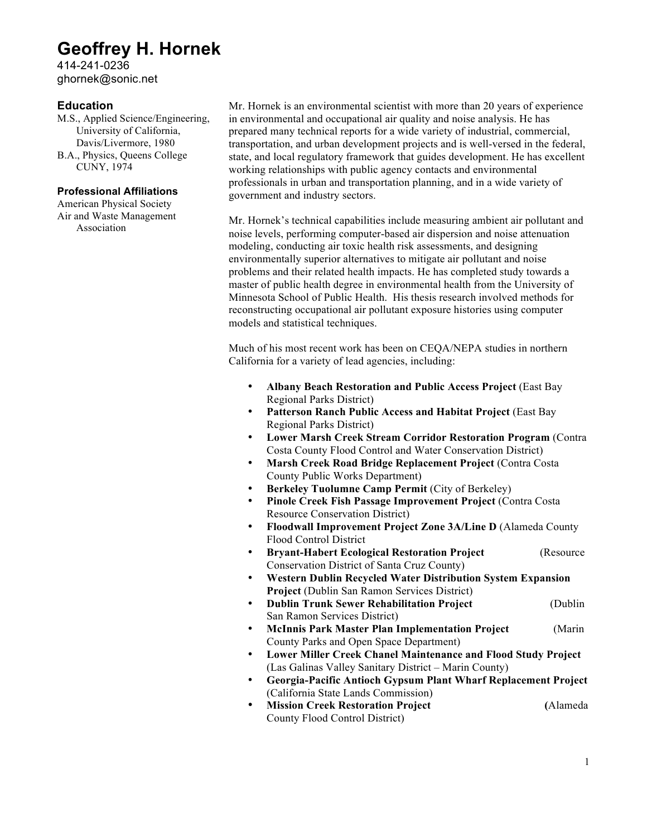#### Pollutant: CO2

|                       |                                                 |                    |            |                 |                        |              |                        |                | On-Site<br>Off-Site |                |                 | <b>Total</b>                 |                |                |                |                  |  |
|-----------------------|-------------------------------------------------|--------------------|------------|-----------------|------------------------|--------------|------------------------|----------------|---------------------|----------------|-----------------|------------------------------|----------------|----------------|----------------|------------------|--|
| <b>EQUIPMENT</b>      |                                                 | ∣LoadFac* ∣CO2Fac* |            | <b>Quantity</b> | <b>T DURATION UNIT</b> |              | <b>D DURATION UNIT</b> |                | DavEmis             | <b>TotEmis</b> | <b>Emfac</b>    | Length                       | <b>DayEmis</b> | <b>TotEmis</b> | <b>DavEmis</b> | <b>TotEmis</b>   |  |
| Excavator             | 163                                             | 0.38               | 482.6838   |                 |                        | 21 work days |                        | 8.00 hours/day | 239179              | 5022769        |                 |                              |                |                | 239179         | 5022769          |  |
| Loader                | 200                                             | 0.36               | 480.0997   |                 |                        | 21 work days |                        | 8.00 hours/day | 276537              | 5807286        |                 |                              |                |                | 276537         | 5807286          |  |
| Skip Loader           | 65                                              | 0.37               | 482.38     |                 |                        | 21 work days |                        | 8.00 hours/day | 9281                | 1949026        |                 |                              |                |                | 92811          | 1949026          |  |
| Delivery Truck        |                                                 |                    | 12267.1696 |                 |                        | 1 work days  |                        |                | 51                  |                | 10723 1759.1414 | 7.31                         | 4276           | 89802          | 4787           | 100525           |  |
| Haul Truck            |                                                 |                    | 12267.1696 |                 |                        | 21 work days |                        |                | 2044                | 42924          | 1759.1414.      | 50.0                         | 117247         | 2462182        | 119291         | 2505107          |  |
| <b>Worker Commute</b> |                                                 |                    |            |                 |                        | 21 work days |                        | 2 trips/day    |                     |                | 332.8596        | 10.8                         | 16177          | 339717         | 16177          | 339717           |  |
|                       | Tot (grams)<br>* Equipment: CalEEMod Appendix D |                    |            |                 |                        |              |                        | 611.082        | 12,832,728          |                |                 | 137.700                      | 2.891.701      | 748.782        | 15.724.429     | 15.7 metric tons |  |
|                       | Tot (lbs)<br>Truck: EMFAC 2014 HHD Idle         |                    |            |                 |                        |              |                        | 1347.2         | 28291.0             |                |                 | 303.6                        | 6375.0         | 1650.8         | 34666.1        | $17.3$ tons      |  |
|                       | Avg. Day (lbs)                                  |                    |            |                 |                        |              |                        |                |                     |                |                 | Truck: EMFAC2014 HHDT 35 mph |                |                | 1650.8         |                  |  |

Worker Commute: EMFAC2014 LDT2 35 mph